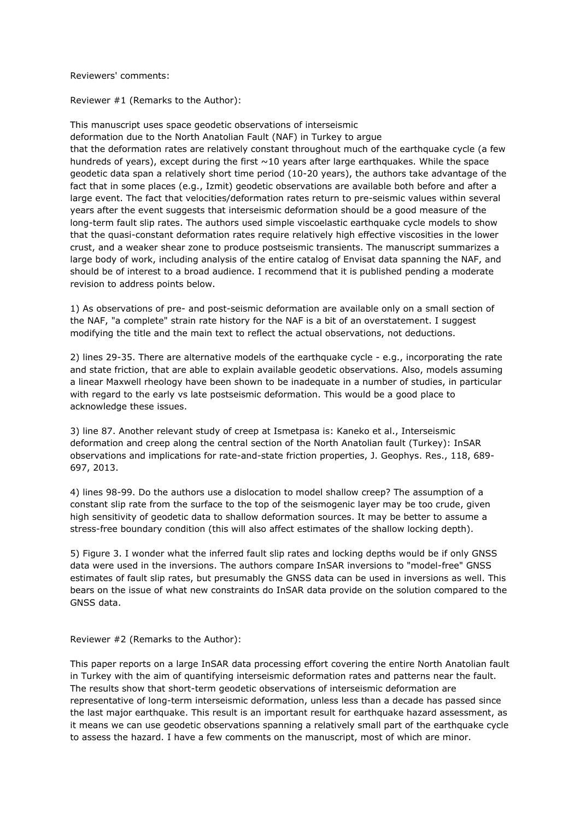Reviewers' comments:

Reviewer #1 (Remarks to the Author):

This manuscript uses space geodetic observations of interseismic deformation due to the North Anatolian Fault (NAF) in Turkey to argue that the deformation rates are relatively constant throughout much of the earthquake cycle (a few hundreds of years), except during the first  $\sim$ 10 years after large earthquakes. While the space geodetic data span a relatively short time period (10-20 years), the authors take advantage of the fact that in some places (e.g., Izmit) geodetic observations are available both before and after a large event. The fact that velocities/deformation rates return to pre-seismic values within several years after the event suggests that interseismic deformation should be a good measure of the long-term fault slip rates. The authors used simple viscoelastic earthquake cycle models to show that the quasi-constant deformation rates require relatively high effective viscosities in the lower crust, and a weaker shear zone to produce postseismic transients. The manuscript summarizes a large body of work, including analysis of the entire catalog of Envisat data spanning the NAF, and should be of interest to a broad audience. I recommend that it is published pending a moderate revision to address points below.

1) As observations of pre- and post-seismic deformation are available only on a small section of the NAF, "a complete" strain rate history for the NAF is a bit of an overstatement. I suggest modifying the title and the main text to reflect the actual observations, not deductions.

2) lines 29-35. There are alternative models of the earthquake cycle - e.g., incorporating the rate and state friction, that are able to explain available geodetic observations. Also, models assuming a linear Maxwell rheology have been shown to be inadequate in a number of studies, in particular with regard to the early vs late postseismic deformation. This would be a good place to acknowledge these issues.

3) line 87. Another relevant study of creep at Ismetpasa is: Kaneko et al., Interseismic deformation and creep along the central section of the North Anatolian fault (Turkey): InSAR observations and implications for rate-and-state friction properties, J. Geophys. Res., 118, 689- 697, 2013.

4) lines 98-99. Do the authors use a dislocation to model shallow creep? The assumption of a constant slip rate from the surface to the top of the seismogenic layer may be too crude, given high sensitivity of geodetic data to shallow deformation sources. It may be better to assume a stress-free boundary condition (this will also affect estimates of the shallow locking depth).

5) Figure 3. I wonder what the inferred fault slip rates and locking depths would be if only GNSS data were used in the inversions. The authors compare InSAR inversions to "model-free" GNSS estimates of fault slip rates, but presumably the GNSS data can be used in inversions as well. This bears on the issue of what new constraints do InSAR data provide on the solution compared to the GNSS data.

Reviewer #2 (Remarks to the Author):

This paper reports on a large InSAR data processing effort covering the entire North Anatolian fault in Turkey with the aim of quantifying interseismic deformation rates and patterns near the fault. The results show that short-term geodetic observations of interseismic deformation are representative of long-term interseismic deformation, unless less than a decade has passed since the last major earthquake. This result is an important result for earthquake hazard assessment, as it means we can use geodetic observations spanning a relatively small part of the earthquake cycle to assess the hazard. I have a few comments on the manuscript, most of which are minor.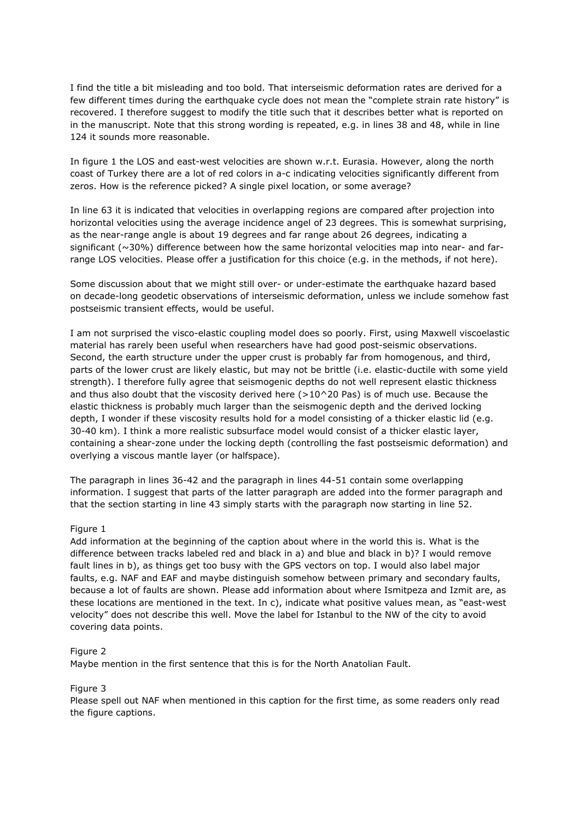I find the title a bit misleading and too bold. That interseismic deformation rates are derived for a few different times during the earthquake cycle does not mean the "complete strain rate history" is recovered. I therefore suggest to modify the title such that it describes better what is reported on in the manuscript. Note that this strong wording is repeated, e.g. in lines 38 and 48, while in line 124 it sounds more reasonable.

In figure 1 the LOS and east-west velocities are shown w.r.t. Eurasia. However, along the north coast of Turkey there are a lot of red colors in a-c indicating velocities significantly different from zeros. How is the reference picked? A single pixel location, or some average?

In line 63 it is indicated that velocities in overlapping regions are compared after projection into horizontal velocities using the average incidence angel of 23 degrees. This is somewhat surprising, as the near-range angle is about 19 degrees and far range about 26 degrees, indicating a significant (~30%) difference between how the same horizontal velocities map into near- and farrange LOS velocities. Please offer a justification for this choice (e.g. in the methods, if not here).

Some discussion about that we might still over- or under-estimate the earthquake hazard based on decade-long geodetic observations of interseismic deformation, unless we include somehow fast postseismic transient effects, would be useful.

I am not surprised the visco-elastic coupling model does so poorly. First, using Maxwell viscoelastic material has rarely been useful when researchers have had good post-seismic observations. Second, the earth structure under the upper crust is probably far from homogenous, and third, parts of the lower crust are likely elastic, but may not be brittle (i.e. elastic-ductile with some yield strength). I therefore fully agree that seismogenic depths do not well represent elastic thickness and thus also doubt that the viscosity derived here  $(>10^{\circ}20$  Pas) is of much use. Because the elastic thickness is probably much larger than the seismogenic depth and the derived locking depth, I wonder if these viscosity results hold for a model consisting of a thicker elastic lid (e.g. 30-40 km). I think a more realistic subsurface model would consist of a thicker elastic layer, containing a shear-zone under the locking depth (controlling the fast postseismic deformation) and overlying a viscous mantle layer (or halfspace).

The paragraph in lines 36-42 and the paragraph in lines 44-51 contain some overlapping information. I suggest that parts of the latter paragraph are added into the former paragraph and that the section starting in line 43 simply starts with the paragraph now starting in line 52.

### Figure 1

Add information at the beginning of the caption about where in the world this is. What is the difference between tracks labeled red and black in a) and blue and black in b)? I would remove fault lines in b), as things get too busy with the GPS vectors on top. I would also label major faults, e.g. NAF and EAF and maybe distinguish somehow between primary and secondary faults, because a lot of faults are shown. Please add information about where Ismitpeza and Izmit are, as these locations are mentioned in the text. In c), indicate what positive values mean, as "east-west velocity" does not describe this well. Move the label for Istanbul to the NW of the city to avoid covering data points.

### Figure 2

Maybe mention in the first sentence that this is for the North Anatolian Fault.

### Figure 3

Please spell out NAF when mentioned in this caption for the first time, as some readers only read the figure captions.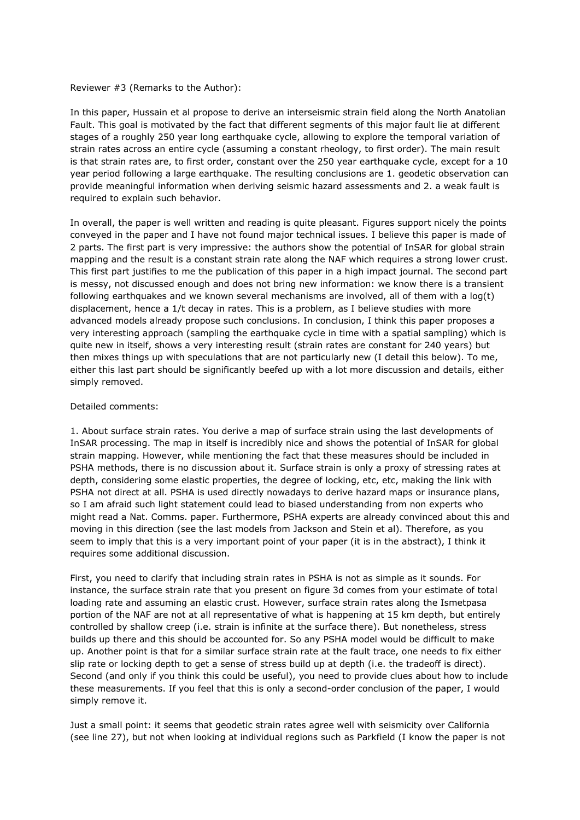### Reviewer #3 (Remarks to the Author):

In this paper, Hussain et al propose to derive an interseismic strain field along the North Anatolian Fault. This goal is motivated by the fact that different segments of this major fault lie at different stages of a roughly 250 year long earthquake cycle, allowing to explore the temporal variation of strain rates across an entire cycle (assuming a constant rheology, to first order). The main result is that strain rates are, to first order, constant over the 250 year earthquake cycle, except for a 10 year period following a large earthquake. The resulting conclusions are 1. geodetic observation can provide meaningful information when deriving seismic hazard assessments and 2. a weak fault is required to explain such behavior.

In overall, the paper is well written and reading is quite pleasant. Figures support nicely the points conveyed in the paper and I have not found major technical issues. I believe this paper is made of 2 parts. The first part is very impressive: the authors show the potential of InSAR for global strain mapping and the result is a constant strain rate along the NAF which requires a strong lower crust. This first part justifies to me the publication of this paper in a high impact journal. The second part is messy, not discussed enough and does not bring new information: we know there is a transient following earthquakes and we known several mechanisms are involved, all of them with a log(t) displacement, hence a 1/t decay in rates. This is a problem, as I believe studies with more advanced models already propose such conclusions. In conclusion, I think this paper proposes a very interesting approach (sampling the earthquake cycle in time with a spatial sampling) which is quite new in itself, shows a very interesting result (strain rates are constant for 240 years) but then mixes things up with speculations that are not particularly new (I detail this below). To me, either this last part should be significantly beefed up with a lot more discussion and details, either simply removed.

#### Detailed comments:

1. About surface strain rates. You derive a map of surface strain using the last developments of InSAR processing. The map in itself is incredibly nice and shows the potential of InSAR for global strain mapping. However, while mentioning the fact that these measures should be included in PSHA methods, there is no discussion about it. Surface strain is only a proxy of stressing rates at depth, considering some elastic properties, the degree of locking, etc, etc, making the link with PSHA not direct at all. PSHA is used directly nowadays to derive hazard maps or insurance plans, so I am afraid such light statement could lead to biased understanding from non experts who might read a Nat. Comms. paper. Furthermore, PSHA experts are already convinced about this and moving in this direction (see the last models from Jackson and Stein et al). Therefore, as you seem to imply that this is a very important point of your paper (it is in the abstract), I think it requires some additional discussion.

First, you need to clarify that including strain rates in PSHA is not as simple as it sounds. For instance, the surface strain rate that you present on figure 3d comes from your estimate of total loading rate and assuming an elastic crust. However, surface strain rates along the Ismetpasa portion of the NAF are not at all representative of what is happening at 15 km depth, but entirely controlled by shallow creep (i.e. strain is infinite at the surface there). But nonetheless, stress builds up there and this should be accounted for. So any PSHA model would be difficult to make up. Another point is that for a similar surface strain rate at the fault trace, one needs to fix either slip rate or locking depth to get a sense of stress build up at depth (i.e. the tradeoff is direct). Second (and only if you think this could be useful), you need to provide clues about how to include these measurements. If you feel that this is only a second-order conclusion of the paper, I would simply remove it.

Just a small point: it seems that geodetic strain rates agree well with seismicity over California (see line 27), but not when looking at individual regions such as Parkfield (I know the paper is not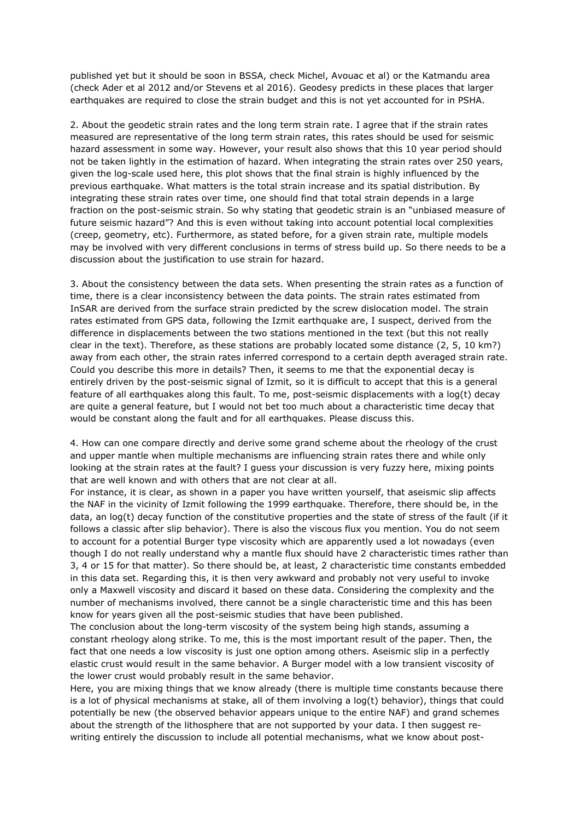published yet but it should be soon in BSSA, check Michel, Avouac et al) or the Katmandu area (check Ader et al 2012 and/or Stevens et al 2016). Geodesy predicts in these places that larger earthquakes are required to close the strain budget and this is not yet accounted for in PSHA.

2. About the geodetic strain rates and the long term strain rate. I agree that if the strain rates measured are representative of the long term strain rates, this rates should be used for seismic hazard assessment in some way. However, your result also shows that this 10 year period should not be taken lightly in the estimation of hazard. When integrating the strain rates over 250 years, given the log-scale used here, this plot shows that the final strain is highly influenced by the previous earthquake. What matters is the total strain increase and its spatial distribution. By integrating these strain rates over time, one should find that total strain depends in a large fraction on the post-seismic strain. So why stating that geodetic strain is an "unbiased measure of future seismic hazard"? And this is even without taking into account potential local complexities (creep, geometry, etc). Furthermore, as stated before, for a given strain rate, multiple models may be involved with very different conclusions in terms of stress build up. So there needs to be a discussion about the justification to use strain for hazard.

3. About the consistency between the data sets. When presenting the strain rates as a function of time, there is a clear inconsistency between the data points. The strain rates estimated from InSAR are derived from the surface strain predicted by the screw dislocation model. The strain rates estimated from GPS data, following the Izmit earthquake are, I suspect, derived from the difference in displacements between the two stations mentioned in the text (but this not really clear in the text). Therefore, as these stations are probably located some distance (2, 5, 10 km?) away from each other, the strain rates inferred correspond to a certain depth averaged strain rate. Could you describe this more in details? Then, it seems to me that the exponential decay is entirely driven by the post-seismic signal of Izmit, so it is difficult to accept that this is a general feature of all earthquakes along this fault. To me, post-seismic displacements with a log(t) decay are quite a general feature, but I would not bet too much about a characteristic time decay that would be constant along the fault and for all earthquakes. Please discuss this.

4. How can one compare directly and derive some grand scheme about the rheology of the crust and upper mantle when multiple mechanisms are influencing strain rates there and while only looking at the strain rates at the fault? I guess your discussion is very fuzzy here, mixing points that are well known and with others that are not clear at all.

For instance, it is clear, as shown in a paper you have written yourself, that aseismic slip affects the NAF in the vicinity of Izmit following the 1999 earthquake. Therefore, there should be, in the data, an log(t) decay function of the constitutive properties and the state of stress of the fault (if it follows a classic after slip behavior). There is also the viscous flux you mention. You do not seem to account for a potential Burger type viscosity which are apparently used a lot nowadays (even though I do not really understand why a mantle flux should have 2 characteristic times rather than 3, 4 or 15 for that matter). So there should be, at least, 2 characteristic time constants embedded in this data set. Regarding this, it is then very awkward and probably not very useful to invoke only a Maxwell viscosity and discard it based on these data. Considering the complexity and the number of mechanisms involved, there cannot be a single characteristic time and this has been know for years given all the post-seismic studies that have been published.

The conclusion about the long-term viscosity of the system being high stands, assuming a constant rheology along strike. To me, this is the most important result of the paper. Then, the fact that one needs a low viscosity is just one option among others. Aseismic slip in a perfectly elastic crust would result in the same behavior. A Burger model with a low transient viscosity of the lower crust would probably result in the same behavior.

Here, you are mixing things that we know already (there is multiple time constants because there is a lot of physical mechanisms at stake, all of them involving a log(t) behavior), things that could potentially be new (the observed behavior appears unique to the entire NAF) and grand schemes about the strength of the lithosphere that are not supported by your data. I then suggest rewriting entirely the discussion to include all potential mechanisms, what we know about post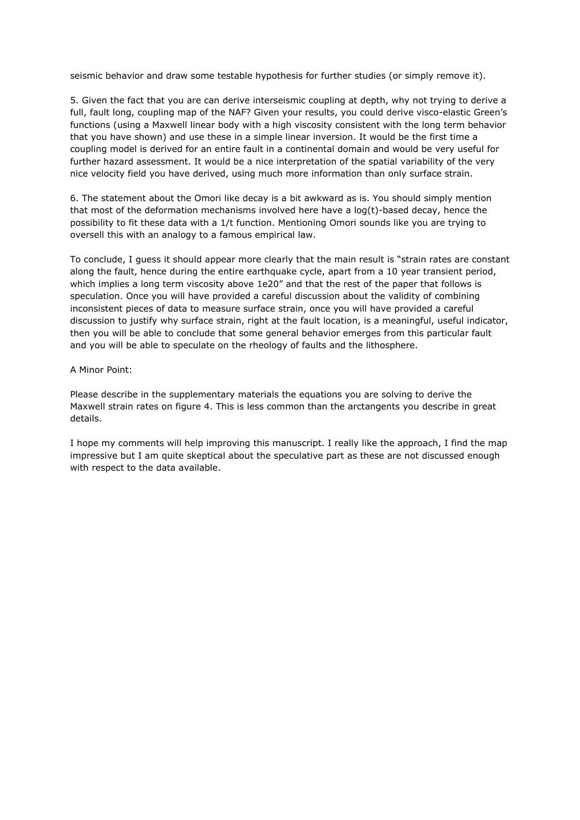seismic behavior and draw some testable hypothesis for further studies (or simply remove it).

5. Given the fact that you are can derive interseismic coupling at depth, why not trying to derive a full, fault long, coupling map of the NAF? Given your results, you could derive visco-elastic Green's functions (using a Maxwell linear body with a high viscosity consistent with the long term behavior that you have shown) and use these in a simple linear inversion. It would be the first time a coupling model is derived for an entire fault in a continental domain and would be very useful for further hazard assessment. It would be a nice interpretation of the spatial variability of the very nice velocity field you have derived, using much more information than only surface strain.

6. The statement about the Omori like decay is a bit awkward as is. You should simply mention that most of the deformation mechanisms involved here have a log(t)-based decay, hence the possibility to fit these data with a 1/t function. Mentioning Omori sounds like you are trying to oversell this with an analogy to a famous empirical law.

To conclude, I guess it should appear more clearly that the main result is "strain rates are constant along the fault, hence during the entire earthquake cycle, apart from a 10 year transient period, which implies a long term viscosity above 1e20" and that the rest of the paper that follows is speculation. Once you will have provided a careful discussion about the validity of combining inconsistent pieces of data to measure surface strain, once you will have provided a careful discussion to justify why surface strain, right at the fault location, is a meaningful, useful indicator, then you will be able to conclude that some general behavior emerges from this particular fault and you will be able to speculate on the rheology of faults and the lithosphere.

### A Minor Point:

Please describe in the supplementary materials the equations you are solving to derive the Maxwell strain rates on figure 4. This is less common than the arctangents you describe in great details.

I hope my comments will help improving this manuscript. I really like the approach, I find the map impressive but I am quite skeptical about the speculative part as these are not discussed enough with respect to the data available.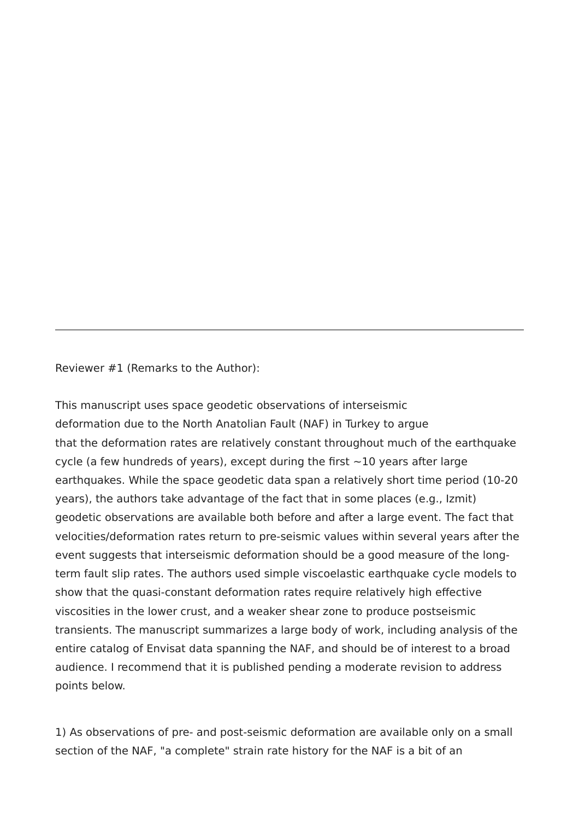Reviewer #1 (Remarks to the Author):

This manuscript uses space geodetic observations of interseismic deformation due to the North Anatolian Fault (NAF) in Turkey to argue that the deformation rates are relatively constant throughout much of the earthquake cycle (a few hundreds of years), except during the first  $\sim$ 10 years after large earthquakes. While the space geodetic data span a relatively short time period (10-20 years), the authors take advantage of the fact that in some places (e.g., Izmit) geodetic observations are available both before and after a large event. The fact that velocities/deformation rates return to pre-seismic values within several years after the event suggests that interseismic deformation should be a good measure of the longterm fault slip rates. The authors used simple viscoelastic earthquake cycle models to show that the quasi-constant deformation rates require relatively high effective viscosities in the lower crust, and a weaker shear zone to produce postseismic transients. The manuscript summarizes a large body of work, including analysis of the entire catalog of Envisat data spanning the NAF, and should be of interest to a broad audience. I recommend that it is published pending a moderate revision to address points below.

1) As observations of pre- and post-seismic deformation are available only on a small section of the NAF, "a complete" strain rate history for the NAF is a bit of an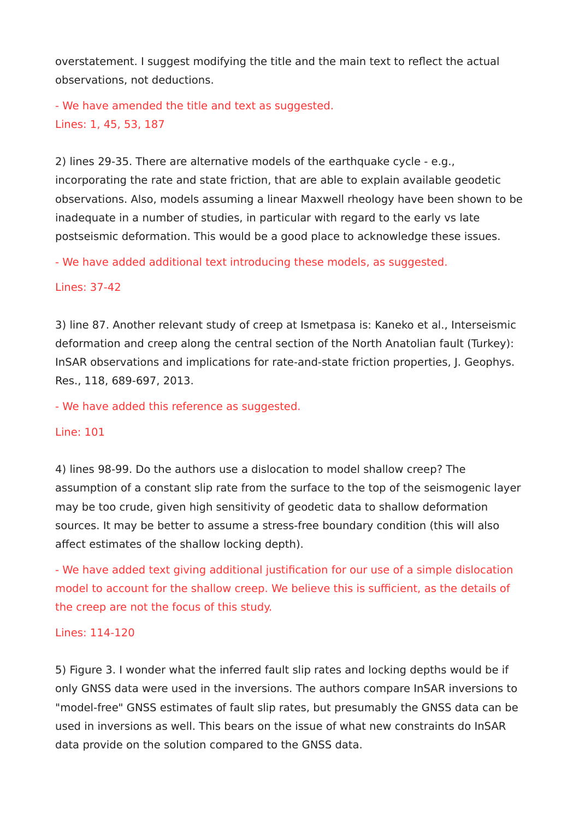overstatement. I suggest modifying the title and the main text to reflect the actual observations, not deductions.

- We have amended the title and text as suggested. Lines: 1, 45, 53, 187

2) lines 29-35. There are alternative models of the earthquake cycle - e.g., incorporating the rate and state friction, that are able to explain available geodetic observations. Also, models assuming a linear Maxwell rheology have been shown to be inadequate in a number of studies, in particular with regard to the early vs late postseismic deformation. This would be a good place to acknowledge these issues.

- We have added additional text introducing these models, as suggested.

# Lines: 37-42

3) line 87. Another relevant study of creep at Ismetpasa is: Kaneko et al., Interseismic deformation and creep along the central section of the North Anatolian fault (Turkey): InSAR observations and implications for rate-and-state friction properties, J. Geophys. Res., 118, 689-697, 2013.

- We have added this reference as suggested.

## Line: 101

4) lines 98-99. Do the authors use a dislocation to model shallow creep? The assumption of a constant slip rate from the surface to the top of the seismogenic layer may be too crude, given high sensitivity of geodetic data to shallow deformation sources. It may be better to assume a stress-free boundary condition (this will also affect estimates of the shallow locking depth).

- We have added text giving additional justification for our use of a simple dislocation model to account for the shallow creep. We believe this is sufficient, as the details of the creep are not the focus of this study.

### Lines: 114-120

5) Figure 3. I wonder what the inferred fault slip rates and locking depths would be if only GNSS data were used in the inversions. The authors compare InSAR inversions to "model-free" GNSS estimates of fault slip rates, but presumably the GNSS data can be used in inversions as well. This bears on the issue of what new constraints do InSAR data provide on the solution compared to the GNSS data.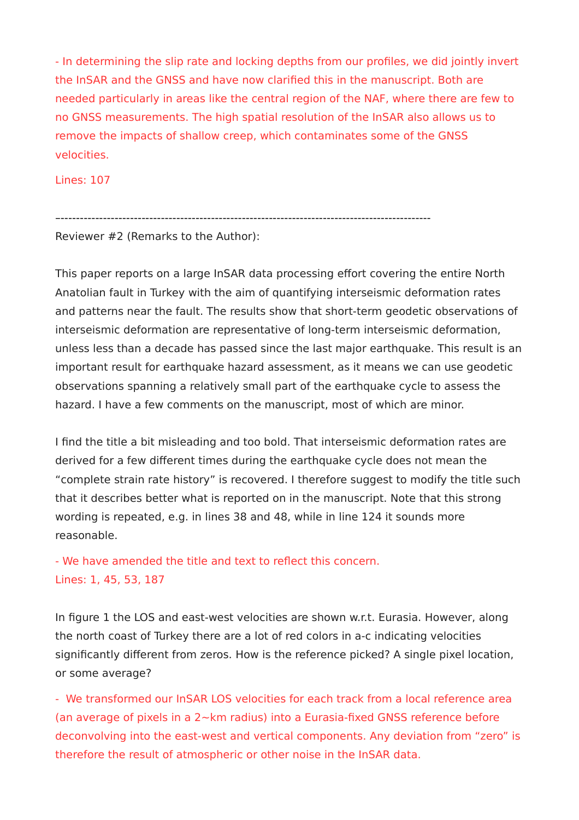- In determining the slip rate and locking depths from our profiles, we did jointly invert the InSAR and the GNSS and have now clarified this in the manuscript. Both are needed particularly in areas like the central region of the NAF, where there are few to no GNSS measurements. The high spatial resolution of the InSAR also allows us to remove the impacts of shallow creep, which contaminates some of the GNSS velocities.

Lines: 107

–------------------------------------------------------------------------------------------------

Reviewer #2 (Remarks to the Author):

This paper reports on a large InSAR data processing effort covering the entire North Anatolian fault in Turkey with the aim of quantifying interseismic deformation rates and patterns near the fault. The results show that short-term geodetic observations of interseismic deformation are representative of long-term interseismic deformation, unless less than a decade has passed since the last major earthquake. This result is an important result for earthquake hazard assessment, as it means we can use geodetic observations spanning a relatively small part of the earthquake cycle to assess the hazard. I have a few comments on the manuscript, most of which are minor.

I find the title a bit misleading and too bold. That interseismic deformation rates are derived for a few different times during the earthquake cycle does not mean the "complete strain rate history" is recovered. I therefore suggest to modify the title such that it describes better what is reported on in the manuscript. Note that this strong wording is repeated, e.g. in lines 38 and 48, while in line 124 it sounds more reasonable.

- We have amended the title and text to reflect this concern. Lines: 1, 45, 53, 187

In figure 1 the LOS and east-west velocities are shown w.r.t. Eurasia. However, along the north coast of Turkey there are a lot of red colors in a-c indicating velocities significantly different from zeros. How is the reference picked? A single pixel location, or some average?

- We transformed our InSAR LOS velocities for each track from a local reference area (an average of pixels in a 2~km radius) into a Eurasia-fixed GNSS reference before deconvolving into the east-west and vertical components. Any deviation from "zero" is therefore the result of atmospheric or other noise in the InSAR data.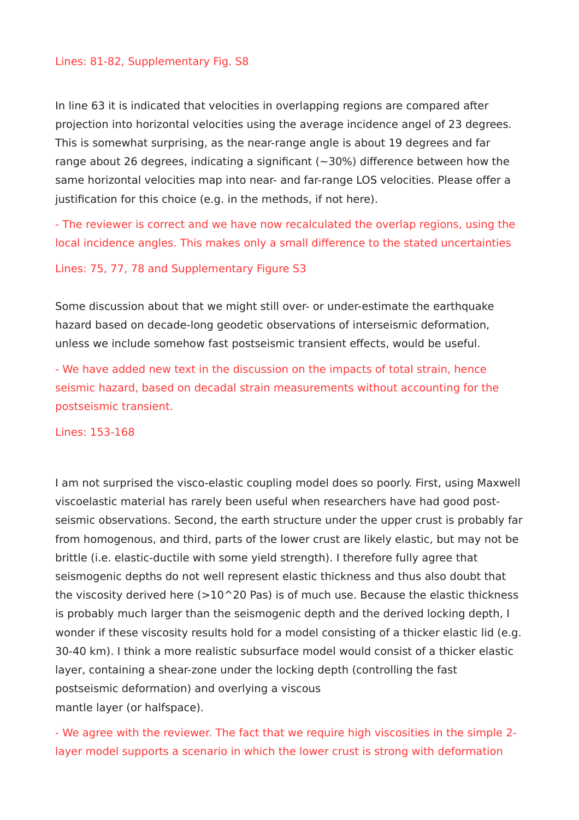## Lines: 81-82, Supplementary Fig. S8

In line 63 it is indicated that velocities in overlapping regions are compared after projection into horizontal velocities using the average incidence angel of 23 degrees. This is somewhat surprising, as the near-range angle is about 19 degrees and far range about 26 degrees, indicating a significant ( $\sim$ 30%) difference between how the same horizontal velocities map into near- and far-range LOS velocities. Please offer a justification for this choice (e.g. in the methods, if not here).

- The reviewer is correct and we have now recalculated the overlap regions, using the local incidence angles. This makes only a small difference to the stated uncertainties

### Lines: 75, 77, 78 and Supplementary Figure S3

Some discussion about that we might still over- or under-estimate the earthquake hazard based on decade-long geodetic observations of interseismic deformation, unless we include somehow fast postseismic transient effects, would be useful.

- We have added new text in the discussion on the impacts of total strain, hence seismic hazard, based on decadal strain measurements without accounting for the postseismic transient.

Lines: 153-168

I am not surprised the visco-elastic coupling model does so poorly. First, using Maxwell viscoelastic material has rarely been useful when researchers have had good postseismic observations. Second, the earth structure under the upper crust is probably far from homogenous, and third, parts of the lower crust are likely elastic, but may not be brittle (i.e. elastic-ductile with some yield strength). I therefore fully agree that seismogenic depths do not well represent elastic thickness and thus also doubt that the viscosity derived here  $(>10^{\circ}20$  Pas) is of much use. Because the elastic thickness is probably much larger than the seismogenic depth and the derived locking depth, I wonder if these viscosity results hold for a model consisting of a thicker elastic lid (e.g. 30-40 km). I think a more realistic subsurface model would consist of a thicker elastic layer, containing a shear-zone under the locking depth (controlling the fast postseismic deformation) and overlying a viscous mantle layer (or halfspace).

- We agree with the reviewer. The fact that we require high viscosities in the simple 2 layer model supports a scenario in which the lower crust is strong with deformation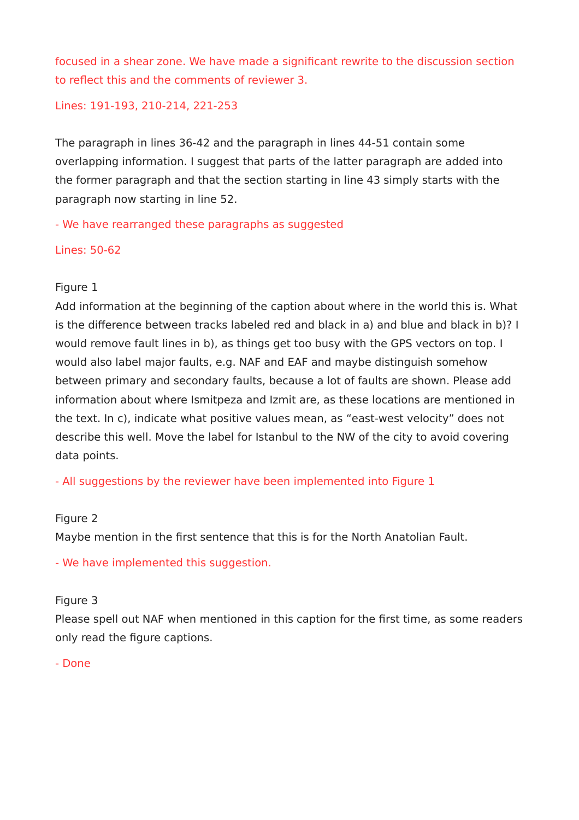focused in a shear zone. We have made a significant rewrite to the discussion section to reflect this and the comments of reviewer 3.

Lines: 191-193, 210-214, 221-253

The paragraph in lines 36-42 and the paragraph in lines 44-51 contain some overlapping information. I suggest that parts of the latter paragraph are added into the former paragraph and that the section starting in line 43 simply starts with the paragraph now starting in line 52.

- We have rearranged these paragraphs as suggested

Lines: 50-62

## Figure 1

Add information at the beginning of the caption about where in the world this is. What is the difference between tracks labeled red and black in a) and blue and black in b)? I would remove fault lines in b), as things get too busy with the GPS vectors on top. I would also label major faults, e.g. NAF and EAF and maybe distinguish somehow between primary and secondary faults, because a lot of faults are shown. Please add information about where Ismitpeza and Izmit are, as these locations are mentioned in the text. In c), indicate what positive values mean, as "east-west velocity" does not describe this well. Move the label for Istanbul to the NW of the city to avoid covering data points.

- All suggestions by the reviewer have been implemented into Figure 1

## Figure 2

Maybe mention in the first sentence that this is for the North Anatolian Fault.

- We have implemented this suggestion.

## Figure 3

Please spell out NAF when mentioned in this caption for the first time, as some readers only read the figure captions.

- Done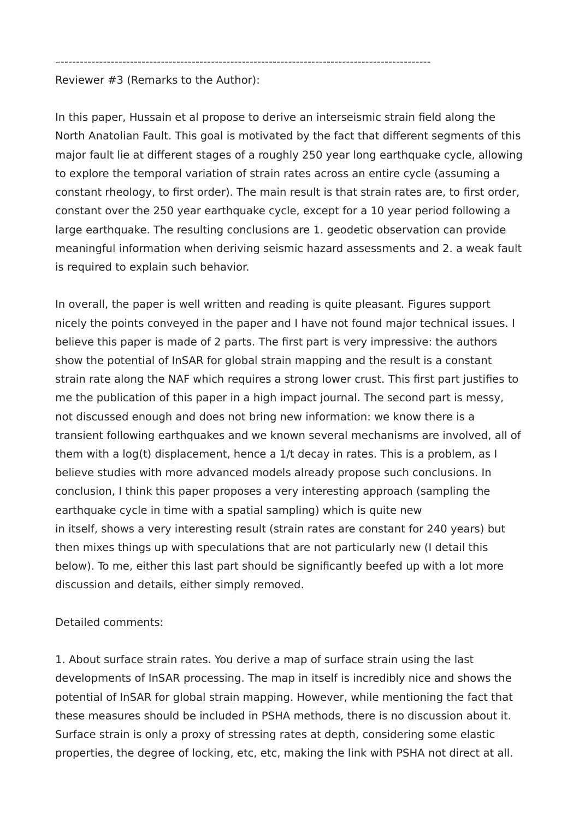–------------------------------------------------------------------------------------------------

Reviewer #3 (Remarks to the Author):

In this paper, Hussain et al propose to derive an interseismic strain field along the North Anatolian Fault. This goal is motivated by the fact that different segments of this major fault lie at different stages of a roughly 250 year long earthquake cycle, allowing to explore the temporal variation of strain rates across an entire cycle (assuming a constant rheology, to first order). The main result is that strain rates are, to first order, constant over the 250 year earthquake cycle, except for a 10 year period following a large earthquake. The resulting conclusions are 1. geodetic observation can provide meaningful information when deriving seismic hazard assessments and 2. a weak fault is required to explain such behavior.

In overall, the paper is well written and reading is quite pleasant. Figures support nicely the points conveyed in the paper and I have not found major technical issues. I believe this paper is made of 2 parts. The first part is very impressive: the authors show the potential of InSAR for global strain mapping and the result is a constant strain rate along the NAF which requires a strong lower crust. This first part justifies to me the publication of this paper in a high impact journal. The second part is messy, not discussed enough and does not bring new information: we know there is a transient following earthquakes and we known several mechanisms are involved, all of them with a log(t) displacement, hence a 1/t decay in rates. This is a problem, as I believe studies with more advanced models already propose such conclusions. In conclusion, I think this paper proposes a very interesting approach (sampling the earthquake cycle in time with a spatial sampling) which is quite new in itself, shows a very interesting result (strain rates are constant for 240 years) but then mixes things up with speculations that are not particularly new (I detail this below). To me, either this last part should be significantly beefed up with a lot more discussion and details, either simply removed.

Detailed comments:

1. About surface strain rates. You derive a map of surface strain using the last developments of InSAR processing. The map in itself is incredibly nice and shows the potential of InSAR for global strain mapping. However, while mentioning the fact that these measures should be included in PSHA methods, there is no discussion about it. Surface strain is only a proxy of stressing rates at depth, considering some elastic properties, the degree of locking, etc, etc, making the link with PSHA not direct at all.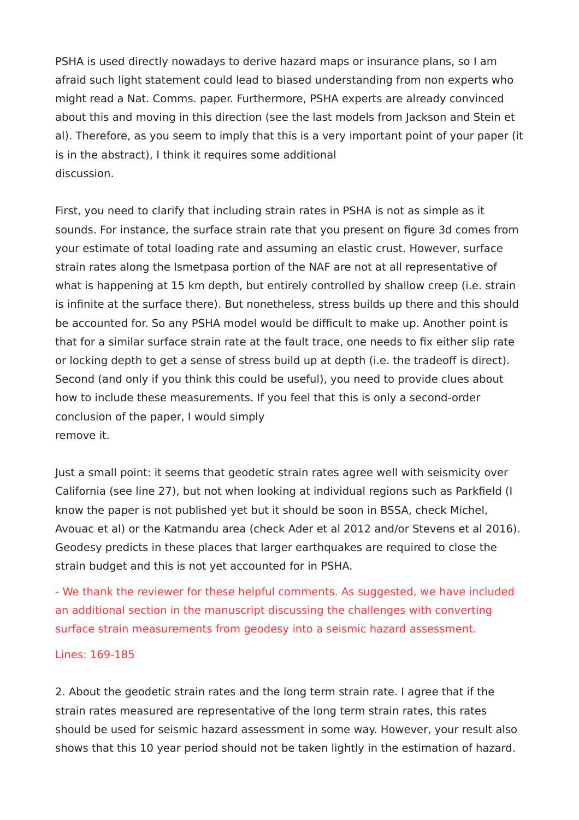PSHA is used directly nowadays to derive hazard maps or insurance plans, so I am afraid such light statement could lead to biased understanding from non experts who might read a Nat. Comms. paper. Furthermore, PSHA experts are already convinced about this and moving in this direction (see the last models from Jackson and Stein et al). Therefore, as you seem to imply that this is a very important point of your paper (it is in the abstract), I think it requires some additional discussion.

First, you need to clarify that including strain rates in PSHA is not as simple as it sounds. For instance, the surface strain rate that you present on figure 3d comes from your estimate of total loading rate and assuming an elastic crust. However, surface strain rates along the Ismetpasa portion of the NAF are not at all representative of what is happening at 15 km depth, but entirely controlled by shallow creep (i.e. strain is infinite at the surface there). But nonetheless, stress builds up there and this should be accounted for. So any PSHA model would be difficult to make up. Another point is that for a similar surface strain rate at the fault trace, one needs to fix either slip rate or locking depth to get a sense of stress build up at depth (i.e. the tradeoff is direct). Second (and only if you think this could be useful), you need to provide clues about how to include these measurements. If you feel that this is only a second-order conclusion of the paper, I would simply remove it.

Just a small point: it seems that geodetic strain rates agree well with seismicity over California (see line 27), but not when looking at individual regions such as Parkfield (I know the paper is not published yet but it should be soon in BSSA, check Michel, Avouac et al) or the Katmandu area (check Ader et al 2012 and/or Stevens et al 2016). Geodesy predicts in these places that larger earthquakes are required to close the strain budget and this is not yet accounted for in PSHA.

- We thank the reviewer for these helpful comments. As suggested, we have included an additional section in the manuscript discussing the challenges with converting surface strain measurements from geodesy into a seismic hazard assessment.

## Lines: 169-185

2. About the geodetic strain rates and the long term strain rate. I agree that if the strain rates measured are representative of the long term strain rates, this rates should be used for seismic hazard assessment in some way. However, your result also shows that this 10 year period should not be taken lightly in the estimation of hazard.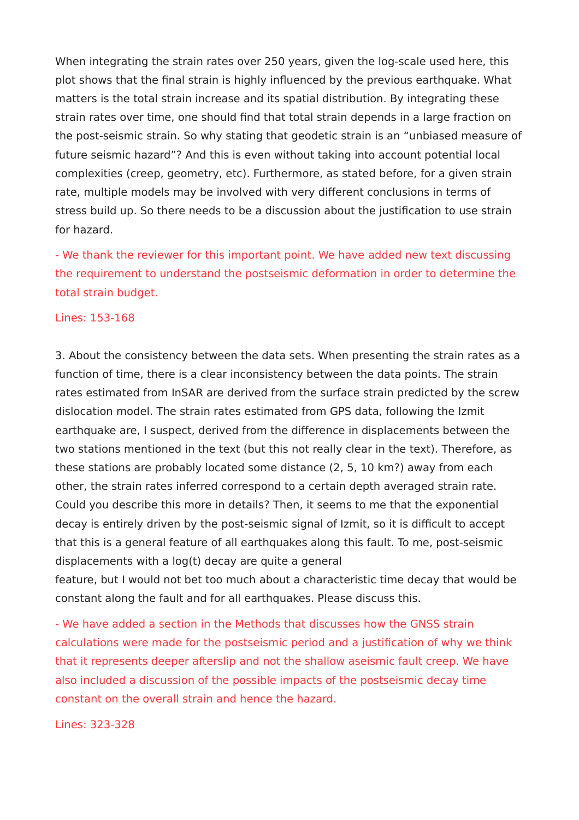When integrating the strain rates over 250 years, given the log-scale used here, this plot shows that the final strain is highly influenced by the previous earthquake. What matters is the total strain increase and its spatial distribution. By integrating these strain rates over time, one should find that total strain depends in a large fraction on the post-seismic strain. So why stating that geodetic strain is an "unbiased measure of future seismic hazard"? And this is even without taking into account potential local complexities (creep, geometry, etc). Furthermore, as stated before, for a given strain rate, multiple models may be involved with very different conclusions in terms of stress build up. So there needs to be a discussion about the justification to use strain for hazard.

- We thank the reviewer for this important point. We have added new text discussing the requirement to understand the postseismic deformation in order to determine the total strain budget.

### Lines: 153-168

3. About the consistency between the data sets. When presenting the strain rates as a function of time, there is a clear inconsistency between the data points. The strain rates estimated from InSAR are derived from the surface strain predicted by the screw dislocation model. The strain rates estimated from GPS data, following the Izmit earthquake are, I suspect, derived from the difference in displacements between the two stations mentioned in the text (but this not really clear in the text). Therefore, as these stations are probably located some distance (2, 5, 10 km?) away from each other, the strain rates inferred correspond to a certain depth averaged strain rate. Could you describe this more in details? Then, it seems to me that the exponential decay is entirely driven by the post-seismic signal of Izmit, so it is difficult to accept that this is a general feature of all earthquakes along this fault. To me, post-seismic displacements with a log(t) decay are quite a general

feature, but I would not bet too much about a characteristic time decay that would be constant along the fault and for all earthquakes. Please discuss this.

- We have added a section in the Methods that discusses how the GNSS strain calculations were made for the postseismic period and a justification of why we think that it represents deeper afterslip and not the shallow aseismic fault creep. We have also included a discussion of the possible impacts of the postseismic decay time constant on the overall strain and hence the hazard.

Lines: 323-328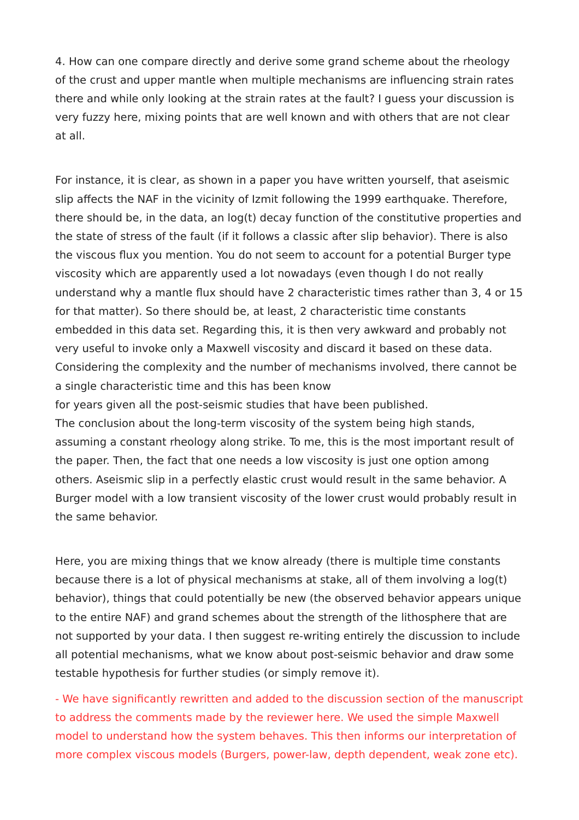4. How can one compare directly and derive some grand scheme about the rheology of the crust and upper mantle when multiple mechanisms are influencing strain rates there and while only looking at the strain rates at the fault? I guess your discussion is very fuzzy here, mixing points that are well known and with others that are not clear at all.

For instance, it is clear, as shown in a paper you have written yourself, that aseismic slip affects the NAF in the vicinity of Izmit following the 1999 earthquake. Therefore, there should be, in the data, an log(t) decay function of the constitutive properties and the state of stress of the fault (if it follows a classic after slip behavior). There is also the viscous flux you mention. You do not seem to account for a potential Burger type viscosity which are apparently used a lot nowadays (even though I do not really understand why a mantle flux should have 2 characteristic times rather than 3, 4 or 15 for that matter). So there should be, at least, 2 characteristic time constants embedded in this data set. Regarding this, it is then very awkward and probably not very useful to invoke only a Maxwell viscosity and discard it based on these data. Considering the complexity and the number of mechanisms involved, there cannot be a single characteristic time and this has been know for years given all the post-seismic studies that have been published.

The conclusion about the long-term viscosity of the system being high stands, assuming a constant rheology along strike. To me, this is the most important result of the paper. Then, the fact that one needs a low viscosity is just one option among others. Aseismic slip in a perfectly elastic crust would result in the same behavior. A Burger model with a low transient viscosity of the lower crust would probably result in the same behavior.

Here, you are mixing things that we know already (there is multiple time constants because there is a lot of physical mechanisms at stake, all of them involving a log(t) behavior), things that could potentially be new (the observed behavior appears unique to the entire NAF) and grand schemes about the strength of the lithosphere that are not supported by your data. I then suggest re-writing entirely the discussion to include all potential mechanisms, what we know about post-seismic behavior and draw some testable hypothesis for further studies (or simply remove it).

- We have significantly rewritten and added to the discussion section of the manuscript to address the comments made by the reviewer here. We used the simple Maxwell model to understand how the system behaves. This then informs our interpretation of more complex viscous models (Burgers, power-law, depth dependent, weak zone etc).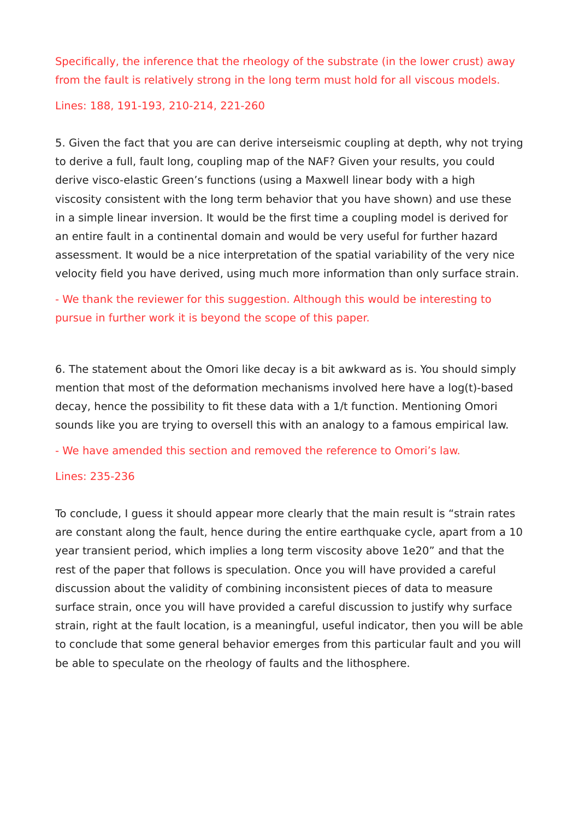Specifically, the inference that the rheology of the substrate (in the lower crust) away from the fault is relatively strong in the long term must hold for all viscous models.

Lines: 188, 191-193, 210-214, 221-260

5. Given the fact that you are can derive interseismic coupling at depth, why not trying to derive a full, fault long, coupling map of the NAF? Given your results, you could derive visco-elastic Green's functions (using a Maxwell linear body with a high viscosity consistent with the long term behavior that you have shown) and use these in a simple linear inversion. It would be the first time a coupling model is derived for an entire fault in a continental domain and would be very useful for further hazard assessment. It would be a nice interpretation of the spatial variability of the very nice velocity field you have derived, using much more information than only surface strain.

- We thank the reviewer for this suggestion. Although this would be interesting to pursue in further work it is beyond the scope of this paper.

6. The statement about the Omori like decay is a bit awkward as is. You should simply mention that most of the deformation mechanisms involved here have a log(t)-based decay, hence the possibility to fit these data with a 1/t function. Mentioning Omori sounds like you are trying to oversell this with an analogy to a famous empirical law.

- We have amended this section and removed the reference to Omori's law.

## Lines: 235-236

To conclude, I guess it should appear more clearly that the main result is "strain rates are constant along the fault, hence during the entire earthquake cycle, apart from a 10 year transient period, which implies a long term viscosity above 1e20" and that the rest of the paper that follows is speculation. Once you will have provided a careful discussion about the validity of combining inconsistent pieces of data to measure surface strain, once you will have provided a careful discussion to justify why surface strain, right at the fault location, is a meaningful, useful indicator, then you will be able to conclude that some general behavior emerges from this particular fault and you will be able to speculate on the rheology of faults and the lithosphere.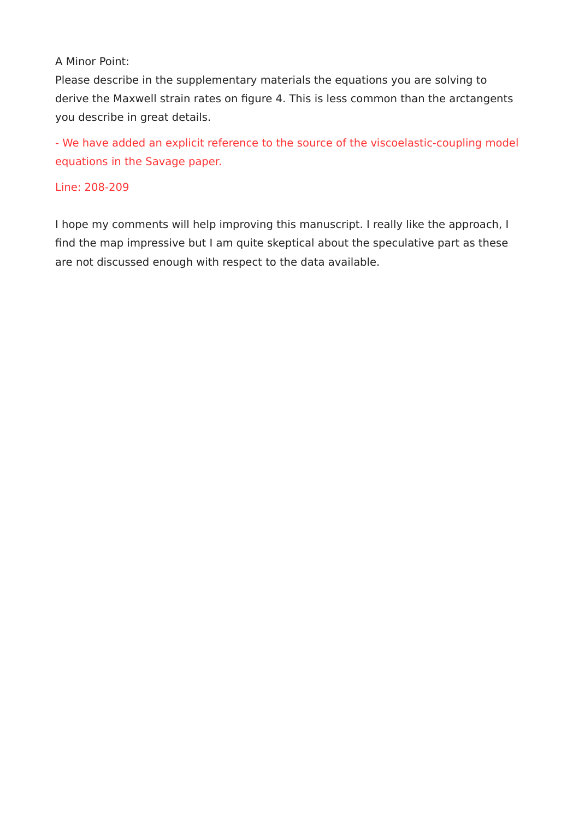# A Minor Point:

Please describe in the supplementary materials the equations you are solving to derive the Maxwell strain rates on figure 4. This is less common than the arctangents you describe in great details.

- We have added an explicit reference to the source of the viscoelastic-coupling model equations in the Savage paper.

# Line: 208-209

I hope my comments will help improving this manuscript. I really like the approach, I find the map impressive but I am quite skeptical about the speculative part as these are not discussed enough with respect to the data available.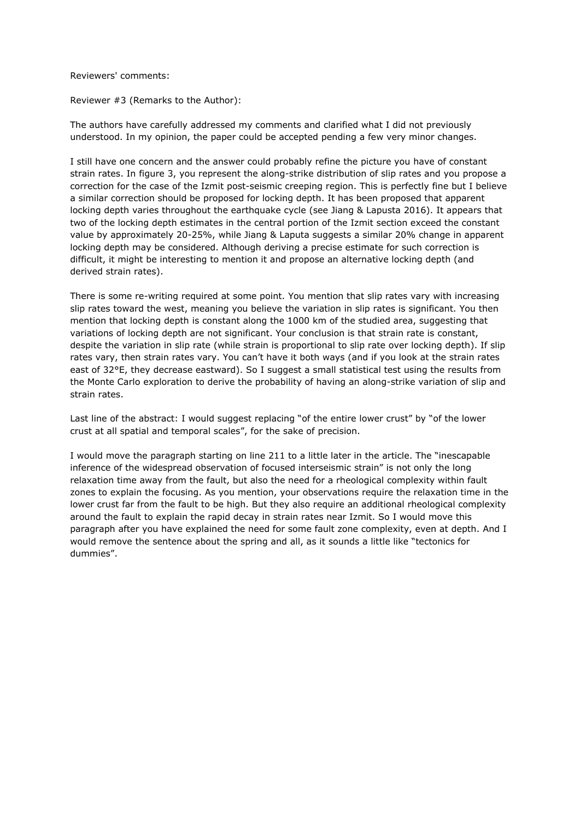Reviewers' comments:

Reviewer #3 (Remarks to the Author):

The authors have carefully addressed my comments and clarified what I did not previously understood. In my opinion, the paper could be accepted pending a few very minor changes.

I still have one concern and the answer could probably refine the picture you have of constant strain rates. In figure 3, you represent the along-strike distribution of slip rates and you propose a correction for the case of the Izmit post-seismic creeping region. This is perfectly fine but I believe a similar correction should be proposed for locking depth. It has been proposed that apparent locking depth varies throughout the earthquake cycle (see Jiang & Lapusta 2016). It appears that two of the locking depth estimates in the central portion of the Izmit section exceed the constant value by approximately 20-25%, while Jiang & Laputa suggests a similar 20% change in apparent locking depth may be considered. Although deriving a precise estimate for such correction is difficult, it might be interesting to mention it and propose an alternative locking depth (and derived strain rates).

There is some re-writing required at some point. You mention that slip rates vary with increasing slip rates toward the west, meaning you believe the variation in slip rates is significant. You then mention that locking depth is constant along the 1000 km of the studied area, suggesting that variations of locking depth are not significant. Your conclusion is that strain rate is constant, despite the variation in slip rate (while strain is proportional to slip rate over locking depth). If slip rates vary, then strain rates vary. You can't have it both ways (and if you look at the strain rates east of 32°E, they decrease eastward). So I suggest a small statistical test using the results from the Monte Carlo exploration to derive the probability of having an along-strike variation of slip and strain rates.

Last line of the abstract: I would suggest replacing "of the entire lower crust" by "of the lower crust at all spatial and temporal scales", for the sake of precision.

I would move the paragraph starting on line 211 to a little later in the article. The "inescapable inference of the widespread observation of focused interseismic strain" is not only the long relaxation time away from the fault, but also the need for a rheological complexity within fault zones to explain the focusing. As you mention, your observations require the relaxation time in the lower crust far from the fault to be high. But they also require an additional rheological complexity around the fault to explain the rapid decay in strain rates near Izmit. So I would move this paragraph after you have explained the need for some fault zone complexity, even at depth. And I would remove the sentence about the spring and all, as it sounds a little like "tectonics for dummies".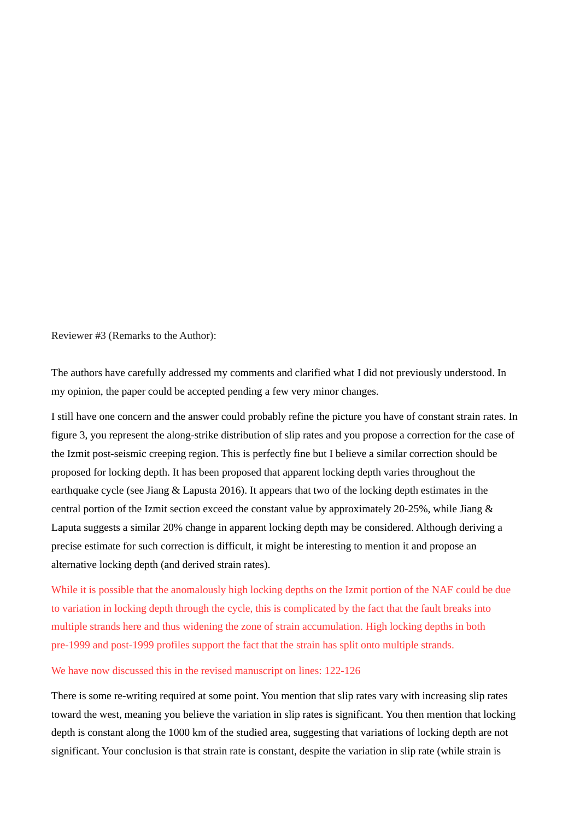Reviewer #3 (Remarks to the Author):

The authors have carefully addressed my comments and clarified what I did not previously understood. In my opinion, the paper could be accepted pending a few very minor changes.

I still have one concern and the answer could probably refine the picture you have of constant strain rates. In figure 3, you represent the along-strike distribution of slip rates and you propose a correction for the case of the Izmit post-seismic creeping region. This is perfectly fine but I believe a similar correction should be proposed for locking depth. It has been proposed that apparent locking depth varies throughout the earthquake cycle (see Jiang & Lapusta 2016). It appears that two of the locking depth estimates in the central portion of the Izmit section exceed the constant value by approximately 20-25%, while Jiang & Laputa suggests a similar 20% change in apparent locking depth may be considered. Although deriving a precise estimate for such correction is difficult, it might be interesting to mention it and propose an alternative locking depth (and derived strain rates).

While it is possible that the anomalously high locking depths on the Izmit portion of the NAF could be due to variation in locking depth through the cycle, this is complicated by the fact that the fault breaks into multiple strands here and thus widening the zone of strain accumulation. High locking depths in both pre-1999 and post-1999 profiles support the fact that the strain has split onto multiple strands.

### We have now discussed this in the revised manuscript on lines: 122-126

There is some re-writing required at some point. You mention that slip rates vary with increasing slip rates toward the west, meaning you believe the variation in slip rates is significant. You then mention that locking depth is constant along the 1000 km of the studied area, suggesting that variations of locking depth are not significant. Your conclusion is that strain rate is constant, despite the variation in slip rate (while strain is